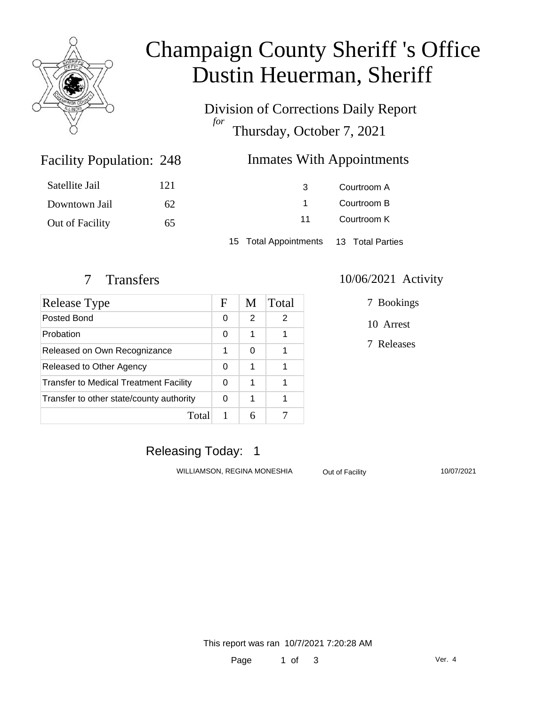

# Champaign County Sheriff 's Office Dustin Heuerman, Sheriff

Division of Corrections Daily Report *for* Thursday, October 7, 2021

### Inmates With Appointments

| Satellite Jail  | 121 | 3                                      | Courtroom A |  |
|-----------------|-----|----------------------------------------|-------------|--|
| Downtown Jail   | 62  |                                        | Courtroom B |  |
| Out of Facility | 65  | 11                                     | Courtroom K |  |
|                 |     | 15 Total Appointments 13 Total Parties |             |  |

Facility Population: 248

| Release Type                                  | F | M | Total |
|-----------------------------------------------|---|---|-------|
| Posted Bond                                   | 0 | 2 | 2     |
| Probation                                     |   | 1 | 1     |
| Released on Own Recognizance                  |   | 0 |       |
| Released to Other Agency                      |   | 1 | 1     |
| <b>Transfer to Medical Treatment Facility</b> |   | 1 |       |
| Transfer to other state/county authority      |   | 1 |       |
| Total                                         |   |   |       |

#### 7 Transfers 10/06/2021 Activity

7 Bookings

10 Arrest

7 Releases

### Releasing Today: 1

WILLIAMSON, REGINA MONESHIA Out of Facility 10/07/2021

This report was ran 10/7/2021 7:20:28 AM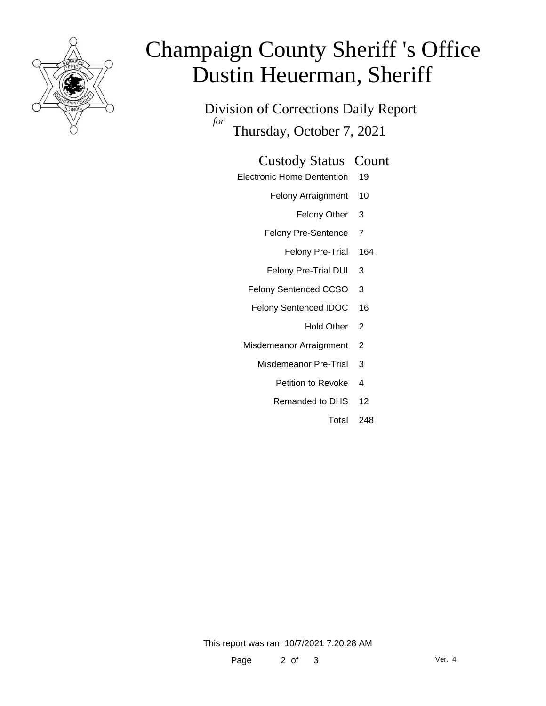

# Champaign County Sheriff 's Office Dustin Heuerman, Sheriff

Division of Corrections Daily Report *for* Thursday, October 7, 2021

#### Custody Status Count

- Electronic Home Dentention 19
	- Felony Arraignment 10
		- Felony Other 3
	- Felony Pre-Sentence 7
		- Felony Pre-Trial 164
	- Felony Pre-Trial DUI 3
	- Felony Sentenced CCSO 3
	- Felony Sentenced IDOC 16
		- Hold Other 2
	- Misdemeanor Arraignment 2
		- Misdemeanor Pre-Trial 3
			- Petition to Revoke 4
			- Remanded to DHS 12
				- Total 248

This report was ran 10/7/2021 7:20:28 AM